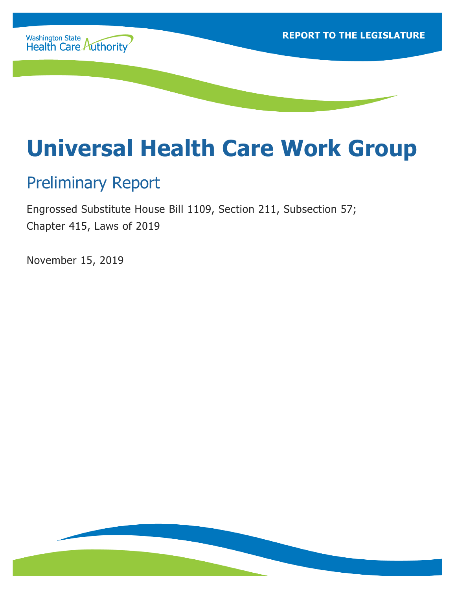

# **Universal Health Care Work Group**

### Preliminary Report

Engrossed Substitute House Bill 1109, Section 211, Subsection 57; Chapter 415, Laws of 2019

November 15, 2019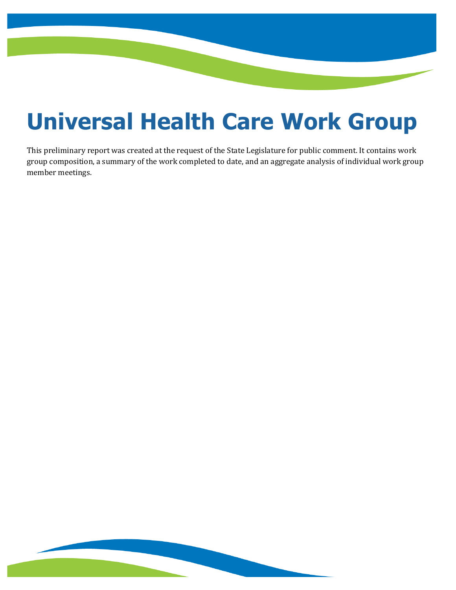# **Universal Health Care Work Group**

This preliminary report was created at the request of the State Legislature for public comment. It contains work group composition, a summary of the work completed to date, and an aggregate analysis of individual work group member meetings.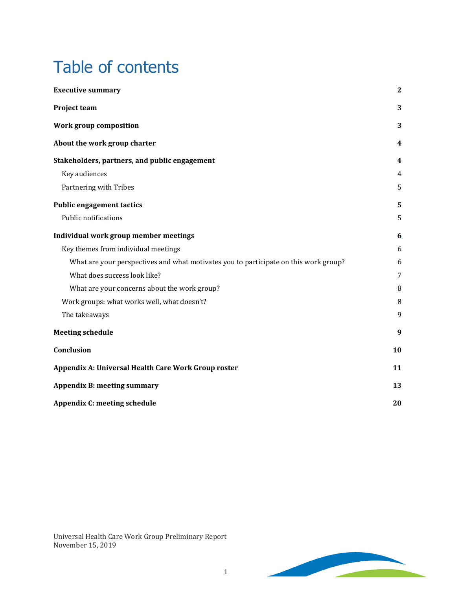## Table of contents

| <b>Executive summary</b>                                                             | $\mathbf{2}$ |
|--------------------------------------------------------------------------------------|--------------|
| Project team                                                                         | 3            |
| Work group composition                                                               | 3            |
| About the work group charter                                                         | 4            |
| Stakeholders, partners, and public engagement                                        | 4            |
| Key audiences                                                                        | 4            |
| Partnering with Tribes                                                               | 5            |
| <b>Public engagement tactics</b>                                                     | 5            |
| Public notifications                                                                 | 5            |
| Individual work group member meetings                                                | 6            |
| Key themes from individual meetings                                                  | 6            |
| What are your perspectives and what motivates you to participate on this work group? | 6            |
| What does success look like?                                                         | 7            |
| What are your concerns about the work group?                                         | 8            |
| Work groups: what works well, what doesn't?                                          | 8            |
| The takeaways                                                                        | 9            |
| <b>Meeting schedule</b>                                                              | 9            |
| Conclusion                                                                           | 10           |
| Appendix A: Universal Health Care Work Group roster                                  | 11           |
| <b>Appendix B: meeting summary</b>                                                   | 13           |
| <b>Appendix C: meeting schedule</b>                                                  | 20           |

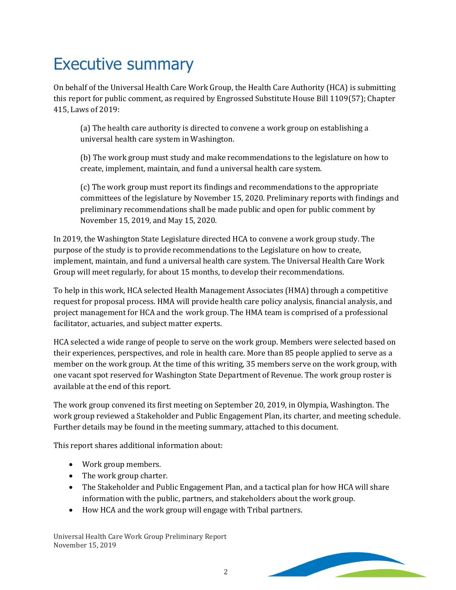## <span id="page-3-0"></span>Executive summary

On behalf of the Universal Health Care Work Group, the Health Care Authority (HCA) is submitting this report for public comment, as required by Engrossed Substitute House Bill 1109(57); Chapter 415, Laws of 2019:

(a) The health care authority is directed to convene a work group on establishing a universal health care system in Washington.

(b) The work group must study and make recommendations to the legislature on how to create, implement, maintain, and fund a universal health care system.

(c) The work group must report its findings and recommendations to the appropriate committees of the legislature by November 15, 2020. Preliminary reports with findings and preliminary recommendations shall be made public and open for public comment by November 15, 2019, and May 15, 2020.

In 2019, the Washington State Legislature directed HCA to convene a work group study. The purpose of the study is to provide recommendations to the Legislature on how to create, implement, maintain, and fund a universal health care system. The Universal Health Care Work Group will meet regularly, for about 15 months, to develop their recommendations.

To help in this work, HCA selected Health Management Associates (HMA) through a competitive request for proposal process. HMA will provide health care policy analysis, financial analysis, and project management for HCA and the work group. The HMA team is comprised of a professional facilitator, actuaries, and subject matter experts.

HCA selected a wide range of people to serve on the work group. Members were selected based on their experiences, perspectives, and role in health care. More than 85 people applied to serve as a member on the work group. At the time of this writing, 35 members serve on the work group, with one vacant spot reserved for Washington State Department of Revenue. The work group roster is available at the end of this report.

The work group convened its first meeting on September 20, 2019, in Olympia, Washington. The work group reviewed a Stakeholder and Public Engagement Plan, its charter, and meeting schedule. Further details may be found in the meeting summary, attached to this document.

This report shares additional information about:

- Work group members.
- The work group charter.
- The Stakeholder and Public Engagement Plan, and a tactical plan for how HCA will share information with the public, partners, and stakeholders about the work group.
- How HCA and the work group will engage with Tribal partners.

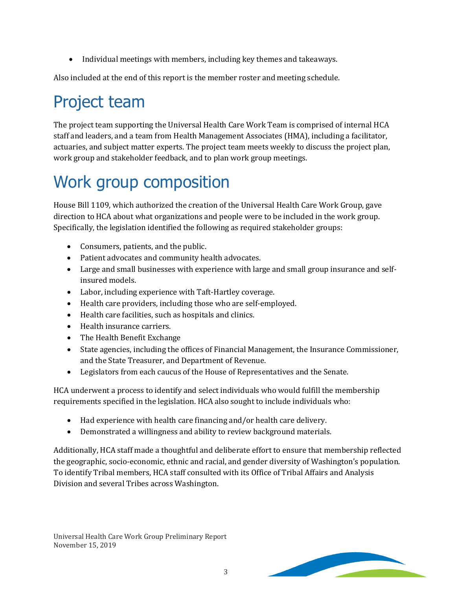• Individual meetings with members, including key themes and takeaways.

Also included at the end of this report is the member roster and meeting schedule.

### <span id="page-4-0"></span>Project team

The project team supporting the Universal Health Care Work Team is comprised of internal HCA staff and leaders, and a team from Health Management Associates (HMA), including a facilitator, actuaries, and subject matter experts. The project team meets weekly to discuss the project plan, work group and stakeholder feedback, and to plan work group meetings.

## <span id="page-4-1"></span>Work group composition

House Bill 1109, which authorized the creation of the Universal Health Care Work Group, gave direction to HCA about what organizations and people were to be included in the work group. Specifically, the legislation identified the following as required stakeholder groups:

- Consumers, patients, and the public.
- Patient advocates and community health advocates.
- Large and small businesses with experience with large and small group insurance and selfinsured models.
- Labor, including experience with Taft-Hartley coverage.
- Health care providers, including those who are self-employed.
- Health care facilities, such as hospitals and clinics.
- Health insurance carriers.
- The Health Benefit Exchange
- State agencies, including the offices of Financial Management, the Insurance Commissioner, and the State Treasurer, and Department of Revenue.
- Legislators from each caucus of the House of Representatives and the Senate.

HCA underwent a process to identify and select individuals who would fulfill the membership requirements specified in the legislation. HCA also sought to include individuals who:

- Had experience with health care financing and/or health care delivery.
- Demonstrated a willingness and ability to review background materials.

Additionally, HCA staff made a thoughtful and deliberate effort to ensure that membership reflected the geographic, socio-economic, ethnic and racial, and gender diversity of Washington's population. To identify Tribal members, HCA staff consulted with its Office of Tribal Affairs and Analysis Division and several Tribes across Washington.

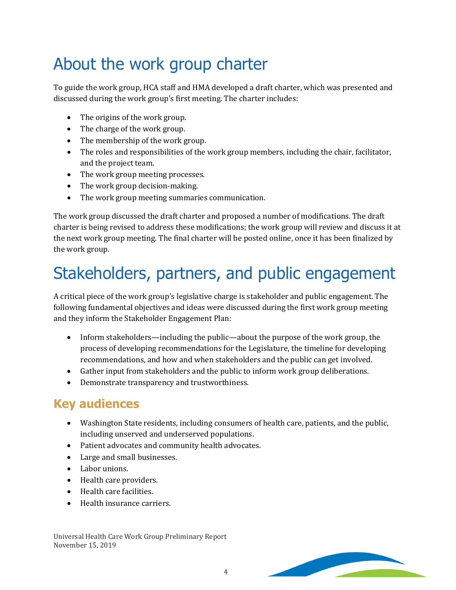## <span id="page-5-0"></span>About the work group charter

To guide the work group, HCA staff and HMA developed a draft charter, which was presented and discussed during the work group's first meeting. The charter includes:

- The origins of the work group.
- The charge of the work group.
- The membership of the work group.
- The roles and responsibilities of the work group members, including the chair, facilitator, and the project team.
- The work group meeting processes.
- The work group decision-making.
- The work group meeting summaries communication.

The work group discussed the draft charter and proposed a number of modifications. The draft charter is being revised to address these modifications; the work group will review and discuss it at the next work group meeting. The final charter will be posted online, once it has been finalized by the work group.

## <span id="page-5-1"></span>Stakeholders, partners, and public engagement

A critical piece of the work group's legislative charge is stakeholder and public engagement. The following fundamental objectives and ideas were discussed during the first work group meeting and they inform the Stakeholder Engagement Plan:

- Inform stakeholders—including the public—about the purpose of the work group, the process of developing recommendations for the Legislature, the timeline for developing recommendations, and how and when stakeholders and the public can get involved.
- Gather input from stakeholders and the public to inform work group deliberations.
- Demonstrate transparency and trustworthiness.

#### <span id="page-5-2"></span>**Key audiences**

- Washington State residents, including consumers of health care, patients, and the public, including unserved and underserved populations.
- Patient advocates and community health advocates.
- Large and small businesses.
- Labor unions.
- Health care providers.
- Health care facilities.
- Health insurance carriers.

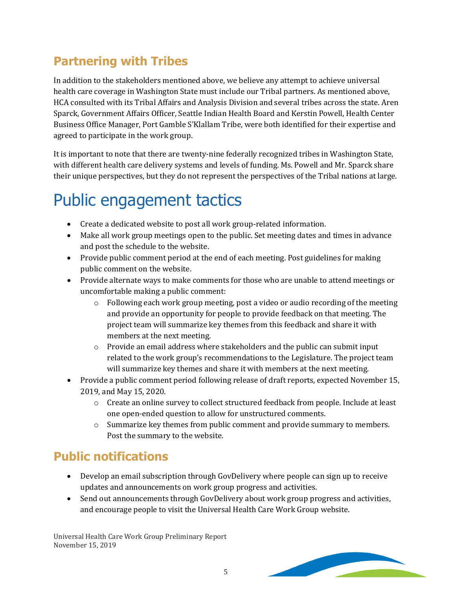### <span id="page-6-0"></span>**Partnering with Tribes**

In addition to the stakeholders mentioned above, we believe any attempt to achieve universal health care coverage in Washington State must include our Tribal partners. As mentioned above, HCA consulted with its Tribal Affairs and Analysis Division and several tribes across the state. Aren Sparck, Government Affairs Officer, Seattle Indian Health Board and Kerstin Powell, Health Center Business Office Manager, Port Gamble S'Klallam Tribe, were both identified for their expertise and agreed to participate in the work group.

It is important to note that there are twenty-nine federally recognized tribes in Washington State, with different health care delivery systems and levels of funding. Ms. Powell and Mr. Sparck share their unique perspectives, but they do not represent the perspectives of the Tribal nations at large.

## <span id="page-6-1"></span>Public engagement tactics

- Create a dedicated website to post all work group-related information.
- Make all work group meetings open to the public. Set meeting dates and times in advance and post the schedule to the website.
- Provide public comment period at the end of each meeting. Post guidelines for making public comment on the website.
- Provide alternate ways to make comments for those who are unable to attend meetings or uncomfortable making a public comment:
	- $\circ$  Following each work group meeting, post a video or audio recording of the meeting and provide an opportunity for people to provide feedback on that meeting. The project team will summarize key themes from this feedback and share it with members at the next meeting.
	- $\circ$  Provide an email address where stakeholders and the public can submit input related to the work group's recommendations to the Legislature. The project team will summarize key themes and share it with members at the next meeting.
- Provide a public comment period following release of draft reports, expected November 15, 2019, and May 15, 2020.
	- $\circ$  Create an online survey to collect structured feedback from people. Include at least one open-ended question to allow for unstructured comments.
	- o Summarize key themes from public comment and provide summary to members. Post the summary to the website.

### <span id="page-6-2"></span>**Public notifications**

- Develop an email subscription through GovDelivery where people can sign up to receive updates and announcements on work group progress and activities.
- Send out announcements through GovDelivery about work group progress and activities, and encourage people to visit the Universal Health Care Work Group website.

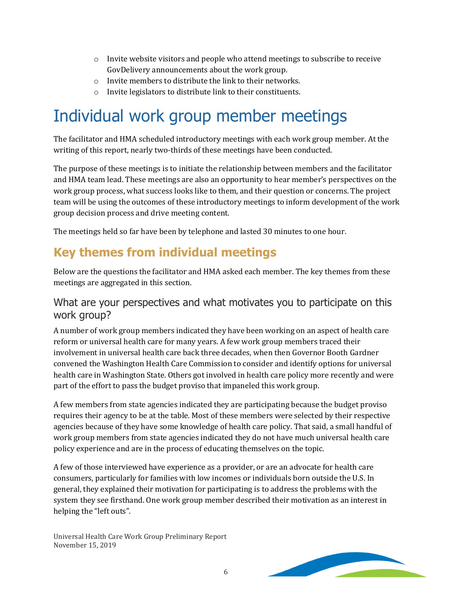- $\circ$  Invite website visitors and people who attend meetings to subscribe to receive GovDelivery announcements about the work group.
- o Invite members to distribute the link to their networks.
- o Invite legislators to distribute link to their constituents.

### <span id="page-7-0"></span>Individual work group member meetings

The facilitator and HMA scheduled introductory meetings with each work group member. At the writing of this report, nearly two-thirds of these meetings have been conducted.

The purpose of these meetings is to initiate the relationship between members and the facilitator and HMA team lead. These meetings are also an opportunity to hear member's perspectives on the work group process, what success looks like to them, and their question or concerns. The project team will be using the outcomes of these introductory meetings to inform development of the work group decision process and drive meeting content.

The meetings held so far have been by telephone and lasted 30 minutes to one hour.

#### <span id="page-7-1"></span>**Key themes from individual meetings**

Below are the questions the facilitator and HMA asked each member. The key themes from these meetings are aggregated in this section.

#### <span id="page-7-2"></span>What are your perspectives and what motivates you to participate on this work group?

A number of work group members indicated they have been working on an aspect of health care reform or universal health care for many years. A few work group members traced their involvement in universal health care back three decades, when then Governor Booth Gardner convened the Washington Health Care Commission to consider and identify options for universal health care in Washington State. Others got involved in health care policy more recently and were part of the effort to pass the budget proviso that impaneled this work group.

A few members from state agencies indicated they are participating because the budget proviso requires their agency to be at the table. Most of these members were selected by their respective agencies because of they have some knowledge of health care policy. That said, a small handful of work group members from state agencies indicated they do not have much universal health care policy experience and are in the process of educating themselves on the topic.

A few of those interviewed have experience as a provider, or are an advocate for health care consumers, particularly for families with low incomes or individuals born outside the U.S. In general, they explained their motivation for participating is to address the problems with the system they see firsthand. One work group member described their motivation as an interest in helping the "left outs".

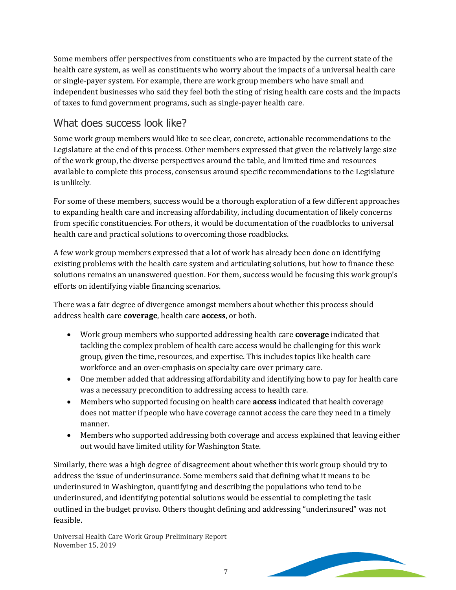Some members offer perspectives from constituents who are impacted by the current state of the health care system, as well as constituents who worry about the impacts of a universal health care or single-payer system. For example, there are work group members who have small and independent businesses who said they feel both the sting of rising health care costs and the impacts of taxes to fund government programs, such as single-payer health care.

#### <span id="page-8-0"></span>What does success look like?

Some work group members would like to see clear, concrete, actionable recommendations to the Legislature at the end of this process. Other members expressed that given the relatively large size of the work group, the diverse perspectives around the table, and limited time and resources available to complete this process, consensus around specific recommendations to the Legislature is unlikely.

For some of these members, success would be a thorough exploration of a few different approaches to expanding health care and increasing affordability, including documentation of likely concerns from specific constituencies. For others, it would be documentation of the roadblocks to universal health care and practical solutions to overcoming those roadblocks.

A few work group members expressed that a lot of work has already been done on identifying existing problems with the health care system and articulating solutions, but how to finance these solutions remains an unanswered question. For them, success would be focusing this work group's efforts on identifying viable financing scenarios.

There was a fair degree of divergence amongst members about whether this process should address health care **coverage**, health care **access**, or both.

- Work group members who supported addressing health care **coverage** indicated that tackling the complex problem of health care access would be challenging for this work group, given the time, resources, and expertise. This includes topics like health care workforce and an over-emphasis on specialty care over primary care.
- One member added that addressing affordability and identifying how to pay for health care was a necessary precondition to addressing access to health care.
- Members who supported focusing on health care **access** indicated that health coverage does not matter if people who have coverage cannot access the care they need in a timely manner.
- Members who supported addressing both coverage and access explained that leaving either out would have limited utility for Washington State.

Similarly, there was a high degree of disagreement about whether this work group should try to address the issue of underinsurance. Some members said that defining what it means to be underinsured in Washington, quantifying and describing the populations who tend to be underinsured, and identifying potential solutions would be essential to completing the task outlined in the budget proviso. Others thought defining and addressing "underinsured" was not feasible.

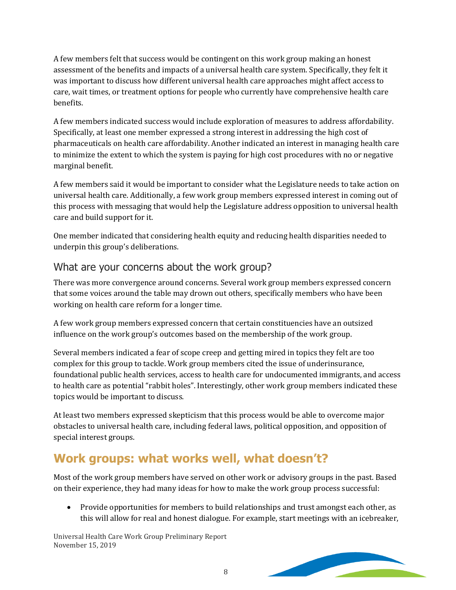A few members felt that success would be contingent on this work group making an honest assessment of the benefits and impacts of a universal health care system. Specifically, they felt it was important to discuss how different universal health care approaches might affect access to care, wait times, or treatment options for people who currently have comprehensive health care benefits.

A few members indicated success would include exploration of measures to address affordability. Specifically, at least one member expressed a strong interest in addressing the high cost of pharmaceuticals on health care affordability. Another indicated an interest in managing health care to minimize the extent to which the system is paying for high cost procedures with no or negative marginal benefit.

A few members said it would be important to consider what the Legislature needs to take action on universal health care. Additionally, a few work group members expressed interest in coming out of this process with messaging that would help the Legislature address opposition to universal health care and build support for it.

One member indicated that considering health equity and reducing health disparities needed to underpin this group's deliberations.

#### <span id="page-9-0"></span>What are your concerns about the work group?

There was more convergence around concerns. Several work group members expressed concern that some voices around the table may drown out others, specifically members who have been working on health care reform for a longer time.

A few work group members expressed concern that certain constituencies have an outsized influence on the work group's outcomes based on the membership of the work group.

Several members indicated a fear of scope creep and getting mired in topics they felt are too complex for this group to tackle. Work group members cited the issue of underinsurance, foundational public health services, access to health care for undocumented immigrants, and access to health care as potential "rabbit holes". Interestingly, other work group members indicated these topics would be important to discuss.

At least two members expressed skepticism that this process would be able to overcome major obstacles to universal health care, including federal laws, political opposition, and opposition of special interest groups.

#### <span id="page-9-1"></span>**Work groups: what works well, what doesn't?**

Most of the work group members have served on other work or advisory groups in the past. Based on their experience, they had many ideas for how to make the work group process successful:

• Provide opportunities for members to build relationships and trust amongst each other, as this will allow for real and honest dialogue. For example, start meetings with an icebreaker,

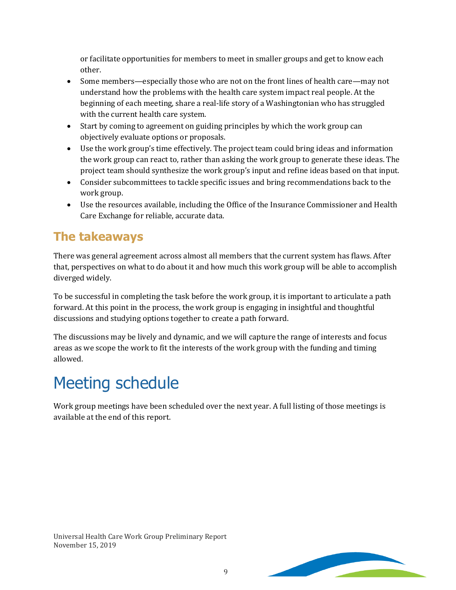or facilitate opportunities for members to meet in smaller groups and get to know each other.

- Some members—especially those who are not on the front lines of health care—may not understand how the problems with the health care system impact real people. At the beginning of each meeting, share a real-life story of a Washingtonian who has struggled with the current health care system.
- Start by coming to agreement on guiding principles by which the work group can objectively evaluate options or proposals.
- Use the work group's time effectively. The project team could bring ideas and information the work group can react to, rather than asking the work group to generate these ideas. The project team should synthesize the work group's input and refine ideas based on that input.
- Consider subcommittees to tackle specific issues and bring recommendations back to the work group.
- Use the resources available, including the Office of the Insurance Commissioner and Health Care Exchange for reliable, accurate data.

#### <span id="page-10-0"></span>**The takeaways**

There was general agreement across almost all members that the current system has flaws. After that, perspectives on what to do about it and how much this work group will be able to accomplish diverged widely.

To be successful in completing the task before the work group, it is important to articulate a path forward. At this point in the process, the work group is engaging in insightful and thoughtful discussions and studying options together to create a path forward.

The discussions may be lively and dynamic, and we will capture the range of interests and focus areas as we scope the work to fit the interests of the work group with the funding and timing allowed.

## <span id="page-10-1"></span>Meeting schedule

Work group meetings have been scheduled over the next year. A full listing of those meetings is available at the end of this report.

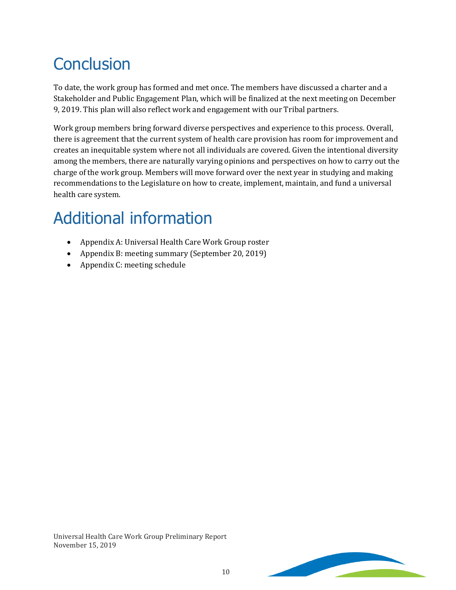## <span id="page-11-0"></span>**Conclusion**

To date, the work group has formed and met once. The members have discussed a charter and a Stakeholder and Public Engagement Plan, which will be finalized at the next meeting on December 9, 2019. This plan will also reflect work and engagement with our Tribal partners.

Work group members bring forward diverse perspectives and experience to this process. Overall, there is agreement that the current system of health care provision has room for improvement and creates an inequitable system where not all individuals are covered. Given the intentional diversity among the members, there are naturally varying opinions and perspectives on how to carry out the charge of the work group. Members will move forward over the next year in studying and making recommendations to the Legislature on how to create, implement, maintain, and fund a universal health care system.

## Additional information

- Appendix A: Universal Health Care Work Group roster
- Appendix B: meeting summary (September 20, 2019)
- Appendix C: meeting schedule

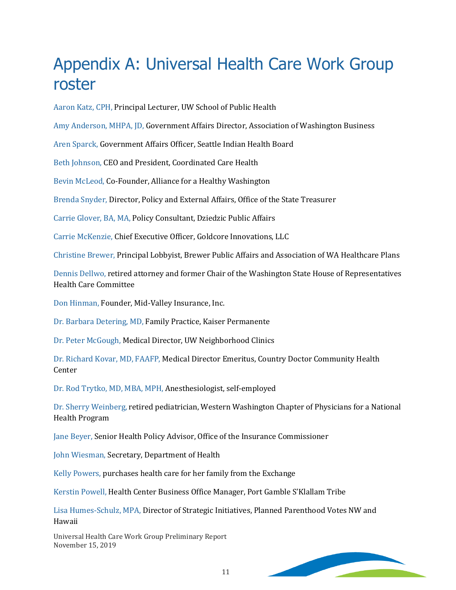### <span id="page-12-0"></span>Appendix A: Universal Health Care Work Group roster

Aaron Katz, CPH, Principal Lecturer, UW School of Public Health

Amy Anderson, MHPA, JD, Government Affairs Director, Association of Washington Business

Aren Sparck, Government Affairs Officer, Seattle Indian Health Board

Beth Johnson, CEO and President, Coordinated Care Health

Bevin McLeod, Co-Founder, Alliance for a Healthy Washington

Brenda Snyder, Director, Policy and External Affairs, Office of the State Treasurer

Carrie Glover, BA, MA, Policy Consultant, Dziedzic Public Affairs

Carrie McKenzie, Chief Executive Officer, Goldcore Innovations, LLC

Christine Brewer, Principal Lobbyist, Brewer Public Affairs and Association of WA Healthcare Plans

Dennis Dellwo, retired attorney and former Chair of the Washington State House of Representatives Health Care Committee

Don Hinman, Founder, Mid-Valley Insurance, Inc.

Dr. Barbara Detering, MD, Family Practice, Kaiser Permanente

Dr. Peter McGough, Medical Director, UW Neighborhood Clinics

Dr. Richard Kovar, MD, FAAFP, Medical Director Emeritus, Country Doctor Community Health Center

Dr. Rod Trytko, MD, MBA, MPH, Anesthesiologist, self-employed

Dr. Sherry Weinberg, retired pediatrician, Western Washington Chapter of Physicians for a National Health Program

Jane Beyer, Senior Health Policy Advisor, Office of the Insurance Commissioner

John Wiesman, Secretary, Department of Health

Kelly Powers, purchases health care for her family from the Exchange

Kerstin Powell, Health Center Business Office Manager, Port Gamble S'Klallam Tribe

Lisa Humes-Schulz, MPA, Director of Strategic Initiatives, Planned Parenthood Votes NW and Hawaii

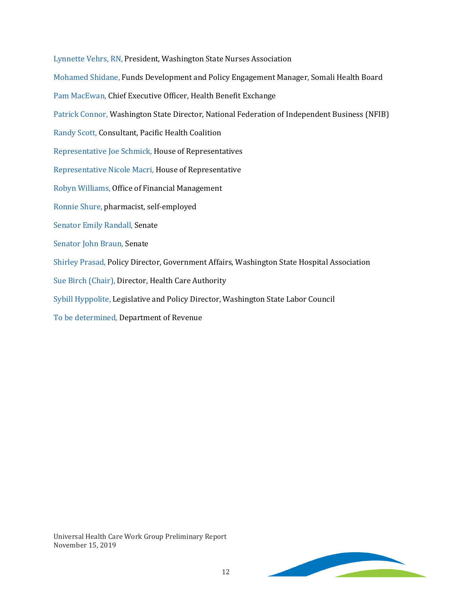Lynnette Vehrs, RN, President, Washington State Nurses Association Mohamed Shidane, Funds Development and Policy Engagement Manager, Somali Health Board Pam MacEwan, Chief Executive Officer, Health Benefit Exchange Patrick Connor, Washington State Director, National Federation of Independent Business (NFIB) Randy Scott, Consultant, Pacific Health Coalition Representative Joe Schmick, House of Representatives Representative Nicole Macri, House of Representative Robyn Williams, Office of Financial Management Ronnie Shure, pharmacist, self-employed Senator Emily Randall, Senate Senator John Braun, Senate Shirley Prasad, Policy Director, Government Affairs, Washington State Hospital Association Sue Birch (Chair), Director, Health Care Authority Sybill Hyppolite, Legislative and Policy Director, Washington State Labor Council To be determined, Department of Revenue

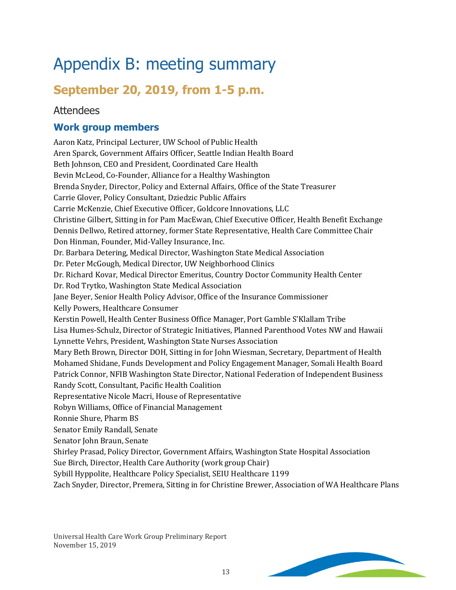## <span id="page-14-0"></span>Appendix B: meeting summary

### **September 20, 2019, from 1-5 p.m.**

#### **Attendees**

#### **Work group members**

Aaron Katz, Principal Lecturer, UW School of Public Health Aren Sparck, Government Affairs Officer, Seattle Indian Health Board Beth Johnson, CEO and President, Coordinated Care Health Bevin McLeod, Co-Founder, Alliance for a Healthy Washington Brenda Snyder, Director, Policy and External Affairs, Office of the State Treasurer Carrie Glover, Policy Consultant, Dziedzic Public Affairs Carrie McKenzie, Chief Executive Officer, Goldcore Innovations, LLC Christine Gilbert, Sitting in for Pam MacEwan, Chief Executive Officer, Health Benefit Exchange Dennis Dellwo, Retired attorney, former State Representative, Health Care Committee Chair Don Hinman, Founder, Mid-Valley Insurance, Inc. Dr. Barbara Detering, Medical Director, Washington State Medical Association Dr. Peter McGough, Medical Director, UW Neighborhood Clinics Dr. Richard Kovar, Medical Director Emeritus, Country Doctor Community Health Center Dr. Rod Trytko, Washington State Medical Association Jane Beyer, Senior Health Policy Advisor, Office of the Insurance Commissioner Kelly Powers, Healthcare Consumer Kerstin Powell, Health Center Business Office Manager, Port Gamble S'Klallam Tribe Lisa Humes-Schulz, Director of Strategic Initiatives, Planned Parenthood Votes NW and Hawaii Lynnette Vehrs, President, Washington State Nurses Association Mary Beth Brown, Director DOH, Sitting in for John Wiesman, Secretary, Department of Health Mohamed Shidane, Funds Development and Policy Engagement Manager, Somali Health Board Patrick Connor, NFIB Washington State Director, National Federation of Independent Business Randy Scott, Consultant, Pacific Health Coalition Representative Nicole Macri, House of Representative Robyn Williams, Office of Financial Management Ronnie Shure, Pharm BS Senator Emily Randall, Senate Senator John Braun, Senate Shirley Prasad, Policy Director, Government Affairs, Washington State Hospital Association Sue Birch, Director, Health Care Authority (work group Chair) Sybill Hyppolite, Healthcare Policy Specialist, SEIU Healthcare 1199 Zach Snyder, Director, Premera, Sitting in for Christine Brewer, Association of WA Healthcare Plans

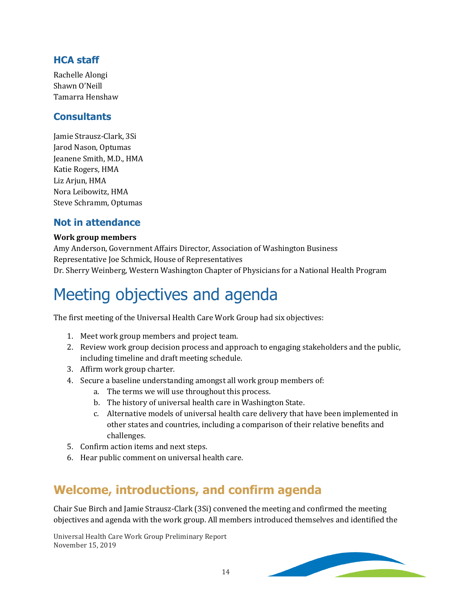#### **HCA staff**

Rachelle Alongi Shawn O'Neill Tamarra Henshaw

#### **Consultants**

Jamie Strausz-Clark, 3Si Jarod Nason, Optumas Jeanene Smith, M.D., HMA Katie Rogers, HMA Liz Arjun, HMA Nora Leibowitz, HMA Steve Schramm, Optumas

#### **Not in attendance**

#### **Work group members**

Amy Anderson, Government Affairs Director, Association of Washington Business Representative Joe Schmick, House of Representatives Dr. Sherry Weinberg, Western Washington Chapter of Physicians for a National Health Program

## Meeting objectives and agenda

The first meeting of the Universal Health Care Work Group had six objectives:

- 1. Meet work group members and project team.
- 2. Review work group decision process and approach to engaging stakeholders and the public, including timeline and draft meeting schedule.
- 3. Affirm work group charter.
- 4. Secure a baseline understanding amongst all work group members of:
	- a. The terms we will use throughout this process.
	- b. The history of universal health care in Washington State.
	- c. Alternative models of universal health care delivery that have been implemented in other states and countries, including a comparison of their relative benefits and challenges.
- 5. Confirm action items and next steps.
- 6. Hear public comment on universal health care.

#### **Welcome, introductions, and confirm agenda**

Chair Sue Birch and Jamie Strausz-Clark (3Si) convened the meeting and confirmed the meeting objectives and agenda with the work group. All members introduced themselves and identified the

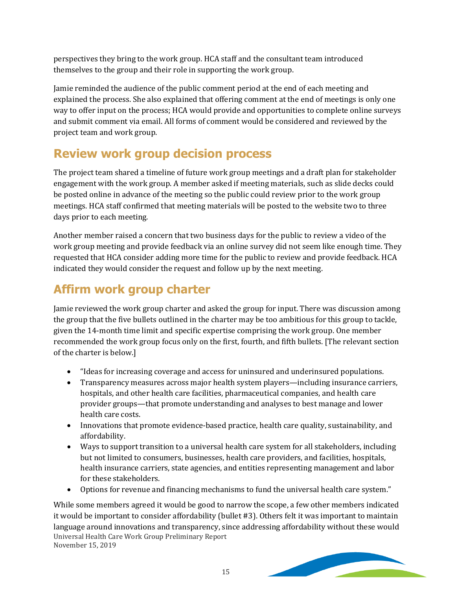perspectives they bring to the work group. HCA staff and the consultant team introduced themselves to the group and their role in supporting the work group.

Jamie reminded the audience of the public comment period at the end of each meeting and explained the process. She also explained that offering comment at the end of meetings is only one way to offer input on the process; HCA would provide and opportunities to complete online surveys and submit comment via email. All forms of comment would be considered and reviewed by the project team and work group.

### **Review work group decision process**

The project team shared a timeline of future work group meetings and a draft plan for stakeholder engagement with the work group. A member asked if meeting materials, such as slide decks could be posted online in advance of the meeting so the public could review prior to the work group meetings. HCA staff confirmed that meeting materials will be posted to the website two to three days prior to each meeting.

Another member raised a concern that two business days for the public to review a video of the work group meeting and provide feedback via an online survey did not seem like enough time. They requested that HCA consider adding more time for the public to review and provide feedback. HCA indicated they would consider the request and follow up by the next meeting.

### **Affirm work group charter**

Jamie reviewed the work group charter and asked the group for input. There was discussion among the group that the five bullets outlined in the charter may be too ambitious for this group to tackle, given the 14-month time limit and specific expertise comprising the work group. One member recommended the work group focus only on the first, fourth, and fifth bullets. [The relevant section of the charter is below.]

- "Ideas for increasing coverage and access for uninsured and underinsured populations.
- Transparency measures across major health system players—including insurance carriers, hospitals, and other health care facilities, pharmaceutical companies, and health care provider groups—that promote understanding and analyses to best manage and lower health care costs.
- Innovations that promote evidence-based practice, health care quality, sustainability, and affordability.
- Ways to support transition to a universal health care system for all stakeholders, including but not limited to consumers, businesses, health care providers, and facilities, hospitals, health insurance carriers, state agencies, and entities representing management and labor for these stakeholders.
- Options for revenue and financing mechanisms to fund the universal health care system."

Universal Health Care Work Group Preliminary Report November 15, 2019 While some members agreed it would be good to narrow the scope, a few other members indicated it would be important to consider affordability (bullet #3). Others felt it was important to maintain language around innovations and transparency, since addressing affordability without these would

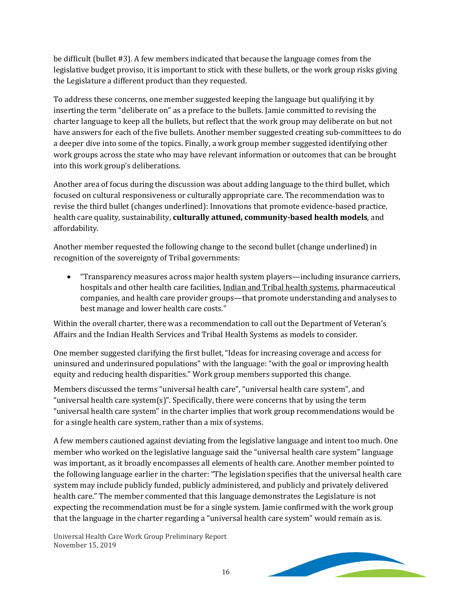be difficult (bullet #3). A few members indicated that because the language comes from the legislative budget proviso, it is important to stick with these bullets, or the work group risks giving the Legislature a different product than they requested.

To address these concerns, one member suggested keeping the language but qualifying it by inserting the term "deliberate on" as a preface to the bullets. Jamie committed to revising the charter language to keep all the bullets, but reflect that the work group may deliberate on but not have answers for each of the five bullets. Another member suggested creating sub-committees to do a deeper dive into some of the topics. Finally, a work group member suggested identifying other work groups across the state who may have relevant information or outcomes that can be brought into this work group's deliberations.

Another area of focus during the discussion was about adding language to the third bullet, which focused on cultural responsiveness or culturally appropriate care. The recommendation was to revise the third bullet (changes underlined): Innovations that promote evidence-based practice, health care quality, sustainability, **culturally attuned, community-based health models**, and affordability.

Another member requested the following change to the second bullet (change underlined) in recognition of the sovereignty of Tribal governments:

• "Transparency measures across major health system players—including insurance carriers, hospitals and other health care facilities, Indian and Tribal health systems, pharmaceutical companies, and health care provider groups—that promote understanding and analyses to best manage and lower health care costs."

Within the overall charter, there was a recommendation to call out the Department of Veteran's Affairs and the Indian Health Services and Tribal Health Systems as models to consider.

One member suggested clarifying the first bullet, "Ideas for increasing coverage and access for uninsured and underinsured populations" with the language: "with the goal or improving health equity and reducing health disparities." Work group members supported this change.

Members discussed the terms "universal health care", "universal health care system", and "universal health care system(s)". Specifically, there were concerns that by using the term "universal health care system" in the charter implies that work group recommendations would be for a single health care system, rather than a mix of systems.

A few members cautioned against deviating from the legislative language and intent too much. One member who worked on the legislative language said the "universal health care system" language was important, as it broadly encompasses all elements of health care. Another member pointed to the following language earlier in the charter: "The legislation specifies that the universal health care system may include publicly funded, publicly administered, and publicly and privately delivered health care." The member commented that this language demonstrates the Legislature is not expecting the recommendation must be for a single system. Jamie confirmed with the work group that the language in the charter regarding a "universal health care system" would remain as is.

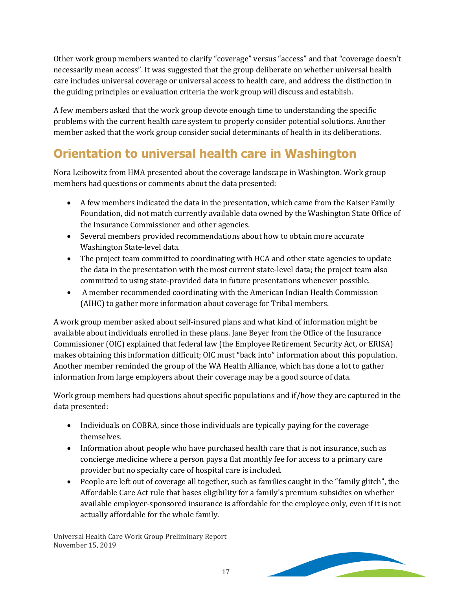Other work group members wanted to clarify "coverage" versus "access" and that "coverage doesn't necessarily mean access". It was suggested that the group deliberate on whether universal health care includes universal coverage or universal access to health care, and address the distinction in the guiding principles or evaluation criteria the work group will discuss and establish.

A few members asked that the work group devote enough time to understanding the specific problems with the current health care system to properly consider potential solutions. Another member asked that the work group consider social determinants of health in its deliberations.

### **Orientation to universal health care in Washington**

Nora Leibowitz from HMA presented about the coverage landscape in Washington. Work group members had questions or comments about the data presented:

- A few members indicated the data in the presentation, which came from the Kaiser Family Foundation, did not match currently available data owned by the Washington State Office of the Insurance Commissioner and other agencies.
- Several members provided recommendations about how to obtain more accurate Washington State-level data.
- The project team committed to coordinating with HCA and other state agencies to update the data in the presentation with the most current state-level data; the project team also committed to using state-provided data in future presentations whenever possible.
- A member recommended coordinating with the American Indian Health Commission (AIHC) to gather more information about coverage for Tribal members.

A work group member asked about self-insured plans and what kind of information might be available about individuals enrolled in these plans. Jane Beyer from the Office of the Insurance Commissioner (OIC) explained that federal law (the Employee Retirement Security Act, or ERISA) makes obtaining this information difficult; OIC must "back into" information about this population. Another member reminded the group of the WA Health Alliance, which has done a lot to gather information from large employers about their coverage may be a good source of data.

Work group members had questions about specific populations and if/how they are captured in the data presented:

- Individuals on COBRA, since those individuals are typically paying for the coverage themselves.
- Information about people who have purchased health care that is not insurance, such as concierge medicine where a person pays a flat monthly fee for access to a primary care provider but no specialty care of hospital care is included.
- People are left out of coverage all together, such as families caught in the "family glitch", the Affordable Care Act rule that bases eligibility for a family's premium subsidies on whether available employer-sponsored insurance is affordable for the employee only, even if it is not actually affordable for the whole family.

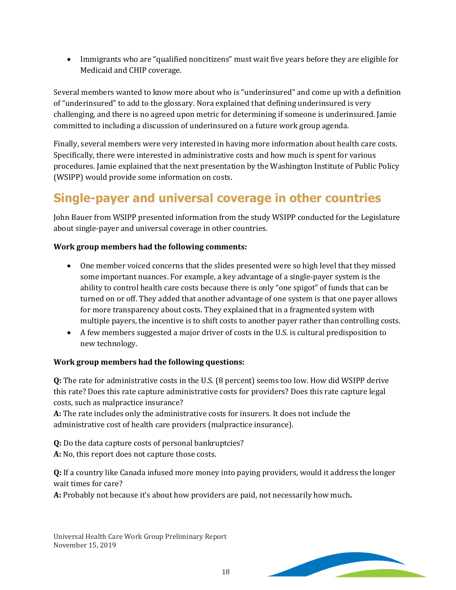• Immigrants who are "qualified noncitizens" must wait five years before they are eligible for Medicaid and CHIP coverage.

Several members wanted to know more about who is "underinsured" and come up with a definition of "underinsured" to add to the glossary. Nora explained that defining underinsured is very challenging, and there is no agreed upon metric for determining if someone is underinsured. Jamie committed to including a discussion of underinsured on a future work group agenda.

Finally, several members were very interested in having more information about health care costs. Specifically, there were interested in administrative costs and how much is spent for various procedures. Jamie explained that the next presentation by the Washington Institute of Public Policy (WSIPP) would provide some information on costs.

### **Single-payer and universal coverage in other countries**

John Bauer from WSIPP presented information from the study WSIPP conducted for the Legislature about single-payer and universal coverage in other countries.

#### **Work group members had the following comments:**

- One member voiced concerns that the slides presented were so high level that they missed some important nuances. For example, a key advantage of a single-payer system is the ability to control health care costs because there is only "one spigot" of funds that can be turned on or off. They added that another advantage of one system is that one payer allows for more transparency about costs. They explained that in a fragmented system with multiple payers, the incentive is to shift costs to another payer rather than controlling costs.
- A few members suggested a major driver of costs in the U.S. is cultural predisposition to new technology.

#### **Work group members had the following questions:**

**Q:** The rate for administrative costs in the U.S. (8 percent) seems too low. How did WSIPP derive this rate? Does this rate capture administrative costs for providers? Does this rate capture legal costs, such as malpractice insurance?

**A:** The rate includes only the administrative costs for insurers. It does not include the administrative cost of health care providers (malpractice insurance).

**Q:** Do the data capture costs of personal bankruptcies?

**A:** No, this report does not capture those costs.

**Q:** If a country like Canada infused more money into paying providers, would it address the longer wait times for care?

**A:** Probably not because it's about how providers are paid, not necessarily how much**.**

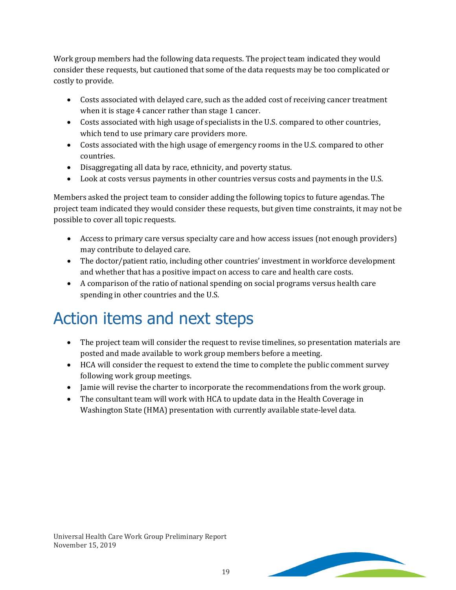Work group members had the following data requests. The project team indicated they would consider these requests, but cautioned that some of the data requests may be too complicated or costly to provide.

- Costs associated with delayed care, such as the added cost of receiving cancer treatment when it is stage 4 cancer rather than stage 1 cancer.
- Costs associated with high usage of specialists in the U.S. compared to other countries, which tend to use primary care providers more.
- Costs associated with the high usage of emergency rooms in the U.S. compared to other countries.
- Disaggregating all data by race, ethnicity, and poverty status.
- Look at costs versus payments in other countries versus costs and payments in the U.S.

Members asked the project team to consider adding the following topics to future agendas. The project team indicated they would consider these requests, but given time constraints, it may not be possible to cover all topic requests.

- Access to primary care versus specialty care and how access issues (not enough providers) may contribute to delayed care.
- The doctor/patient ratio, including other countries' investment in workforce development and whether that has a positive impact on access to care and health care costs.
- A comparison of the ratio of national spending on social programs versus health care spending in other countries and the U.S.

## Action items and next steps

- The project team will consider the request to revise timelines, so presentation materials are posted and made available to work group members before a meeting.
- HCA will consider the request to extend the time to complete the public comment survey following work group meetings.
- Jamie will revise the charter to incorporate the recommendations from the work group.
- The consultant team will work with HCA to update data in the Health Coverage in Washington State (HMA) presentation with currently available state-level data.